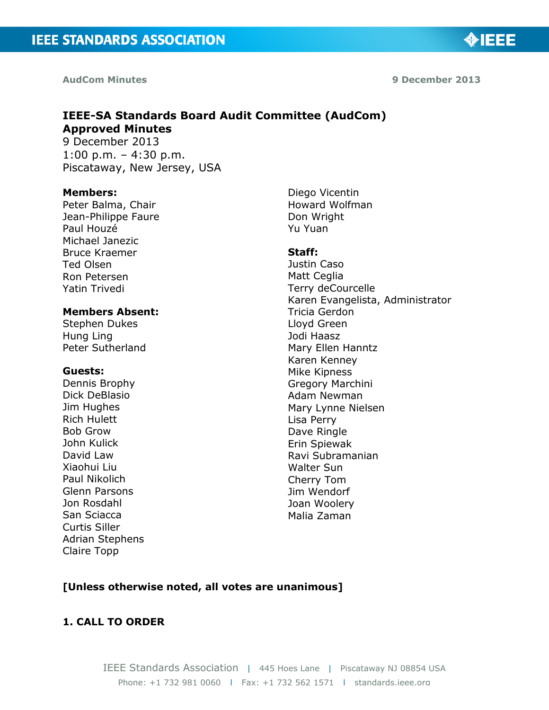**AudCom Minutes 9 December 2013**

**MIEEE** 

## **IEEE-SA Standards Board Audit Committee (AudCom) Approved Minutes** 9 December 2013

1:00 p.m. – 4:30 p.m. Piscataway, New Jersey, USA

#### **Members:**

Peter Balma, Chair Jean-Philippe Faure Paul Houzé Michael Janezic Bruce Kraemer Ted Olsen Ron Petersen Yatin Trivedi

### **Members Absent:**

Stephen Dukes Hung Ling Peter Sutherland

#### **Guests:**

Dennis Brophy Dick DeBlasio Jim Hughes Rich Hulett Bob Grow John Kulick David Law Xiaohui Liu Paul Nikolich Glenn Parsons Jon Rosdahl San Sciacca Curtis Siller Adrian Stephens Claire Topp

Diego Vicentin Howard Wolfman Don Wright Yu Yuan

#### **Staff:**

Justin Caso Matt Ceglia Terry deCourcelle Karen Evangelista, Administrator Tricia Gerdon Lloyd Green Jodi Haasz Mary Ellen Hanntz Karen Kenney Mike Kipness Gregory Marchini Adam Newman Mary Lynne Nielsen Lisa Perry Dave Ringle Erin Spiewak Ravi Subramanian Walter Sun Cherry Tom Jim Wendorf Joan Woolery Malia Zaman

### **[Unless otherwise noted, all votes are unanimous]**

### **1. CALL TO ORDER**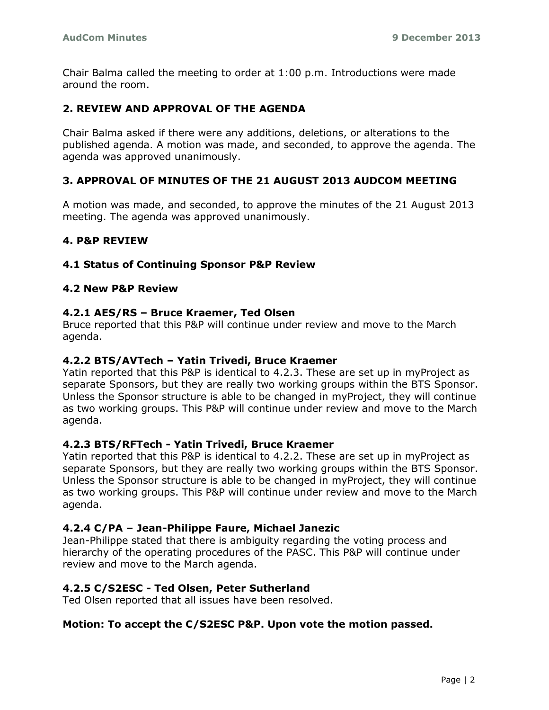Chair Balma called the meeting to order at 1:00 p.m. Introductions were made around the room.

## **2. REVIEW AND APPROVAL OF THE AGENDA**

Chair Balma asked if there were any additions, deletions, or alterations to the published agenda. A motion was made, and seconded, to approve the agenda. The agenda was approved unanimously.

## **3. APPROVAL OF MINUTES OF THE 21 AUGUST 2013 AUDCOM MEETING**

A motion was made, and seconded, to approve the minutes of the 21 August 2013 meeting. The agenda was approved unanimously.

## **4. P&P REVIEW**

## **4.1 Status of Continuing Sponsor P&P Review**

### **4.2 New P&P Review**

### **4.2.1 AES/RS – Bruce Kraemer, Ted Olsen**

Bruce reported that this P&P will continue under review and move to the March agenda.

#### **4.2.2 BTS/AVTech – Yatin Trivedi, Bruce Kraemer**

Yatin reported that this P&P is identical to 4.2.3. These are set up in myProject as separate Sponsors, but they are really two working groups within the BTS Sponsor. Unless the Sponsor structure is able to be changed in myProject, they will continue as two working groups. This P&P will continue under review and move to the March agenda.

### **4.2.3 BTS/RFTech - Yatin Trivedi, Bruce Kraemer**

Yatin reported that this P&P is identical to 4.2.2. These are set up in myProject as separate Sponsors, but they are really two working groups within the BTS Sponsor. Unless the Sponsor structure is able to be changed in myProject, they will continue as two working groups. This P&P will continue under review and move to the March agenda.

### **4.2.4 C/PA – Jean-Philippe Faure, Michael Janezic**

Jean-Philippe stated that there is ambiguity regarding the voting process and hierarchy of the operating procedures of the PASC. This P&P will continue under review and move to the March agenda.

### **4.2.5 C/S2ESC - Ted Olsen, Peter Sutherland**

Ted Olsen reported that all issues have been resolved.

#### **Motion: To accept the C/S2ESC P&P. Upon vote the motion passed.**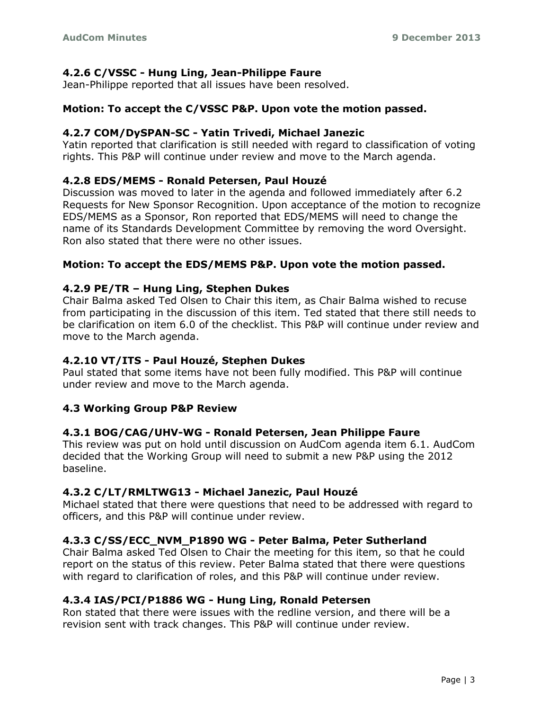## **4.2.6 C/VSSC - Hung Ling, Jean-Philippe Faure**

Jean-Philippe reported that all issues have been resolved.

## **Motion: To accept the C/VSSC P&P. Upon vote the motion passed.**

## **4.2.7 COM/DySPAN-SC - Yatin Trivedi, Michael Janezic**

Yatin reported that clarification is still needed with regard to classification of voting rights. This P&P will continue under review and move to the March agenda.

## **4.2.8 EDS/MEMS - Ronald Petersen, Paul Houzé**

Discussion was moved to later in the agenda and followed immediately after 6.2 Requests for New Sponsor Recognition. Upon acceptance of the motion to recognize EDS/MEMS as a Sponsor, Ron reported that EDS/MEMS will need to change the name of its Standards Development Committee by removing the word Oversight. Ron also stated that there were no other issues.

## **Motion: To accept the EDS/MEMS P&P. Upon vote the motion passed.**

## **4.2.9 PE/TR – Hung Ling, Stephen Dukes**

Chair Balma asked Ted Olsen to Chair this item, as Chair Balma wished to recuse from participating in the discussion of this item. Ted stated that there still needs to be clarification on item 6.0 of the checklist. This P&P will continue under review and move to the March agenda.

## **4.2.10 VT/ITS - Paul Houzé, Stephen Dukes**

Paul stated that some items have not been fully modified. This P&P will continue under review and move to the March agenda.

## **4.3 Working Group P&P Review**

# **4.3.1 BOG/CAG/UHV-WG - Ronald Petersen, Jean Philippe Faure**

This review was put on hold until discussion on AudCom agenda item 6.1. AudCom decided that the Working Group will need to submit a new P&P using the 2012 baseline.

# **4.3.2 C/LT/RMLTWG13 - Michael Janezic, Paul Houzé**

Michael stated that there were questions that need to be addressed with regard to officers, and this P&P will continue under review.

# **4.3.3 C/SS/ECC\_NVM\_P1890 WG - Peter Balma, Peter Sutherland**

Chair Balma asked Ted Olsen to Chair the meeting for this item, so that he could report on the status of this review. Peter Balma stated that there were questions with regard to clarification of roles, and this P&P will continue under review.

# **4.3.4 IAS/PCI/P1886 WG - Hung Ling, Ronald Petersen**

Ron stated that there were issues with the redline version, and there will be a revision sent with track changes. This P&P will continue under review.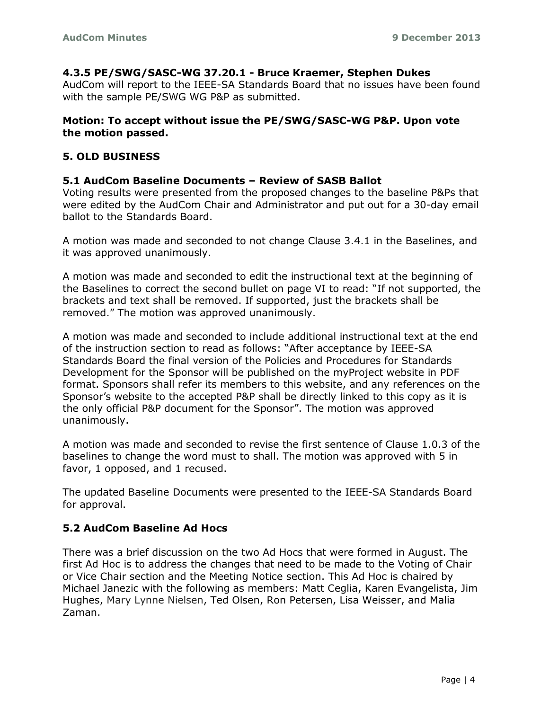### **4.3.5 PE/SWG/SASC-WG 37.20.1 - Bruce Kraemer, Stephen Dukes**

AudCom will report to the IEEE-SA Standards Board that no issues have been found with the sample PE/SWG WG P&P as submitted.

### **Motion: To accept without issue the PE/SWG/SASC-WG P&P. Upon vote the motion passed.**

## **5. OLD BUSINESS**

### **5.1 AudCom Baseline Documents – Review of SASB Ballot**

Voting results were presented from the proposed changes to the baseline P&Ps that were edited by the AudCom Chair and Administrator and put out for a 30-day email ballot to the Standards Board.

A motion was made and seconded to not change Clause 3.4.1 in the Baselines, and it was approved unanimously.

A motion was made and seconded to edit the instructional text at the beginning of the Baselines to correct the second bullet on page VI to read: "If not supported, the brackets and text shall be removed. If supported, just the brackets shall be removed." The motion was approved unanimously.

A motion was made and seconded to include additional instructional text at the end of the instruction section to read as follows: "After acceptance by IEEE-SA Standards Board the final version of the Policies and Procedures for Standards Development for the Sponsor will be published on the myProject website in PDF format. Sponsors shall refer its members to this website, and any references on the Sponsor's website to the accepted P&P shall be directly linked to this copy as it is the only official P&P document for the Sponsor". The motion was approved unanimously.

A motion was made and seconded to revise the first sentence of Clause 1.0.3 of the baselines to change the word must to shall. The motion was approved with 5 in favor, 1 opposed, and 1 recused.

The updated Baseline Documents were presented to the IEEE-SA Standards Board for approval.

## **5.2 AudCom Baseline Ad Hocs**

There was a brief discussion on the two Ad Hocs that were formed in August. The first Ad Hoc is to address the changes that need to be made to the Voting of Chair or Vice Chair section and the Meeting Notice section. This Ad Hoc is chaired by Michael Janezic with the following as members: Matt Ceglia, Karen Evangelista, Jim Hughes, Mary Lynne Nielsen, Ted Olsen, Ron Petersen, Lisa Weisser, and Malia Zaman.